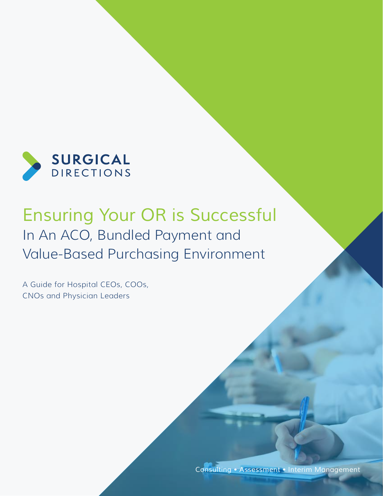

# *Ensuring Your OR is Successful* In An ACO, Bundled Payment and Value-Based Purchasing Environment

A Guide for Hospital CEOs, COOs, CNOs and Physician Leaders

*Consulting • Assessment • Interim Management*

**www.surgicaldirections.com** 1999. The component of the component of the component of the component of the component of the component of the component of the component of the component of the component of the component of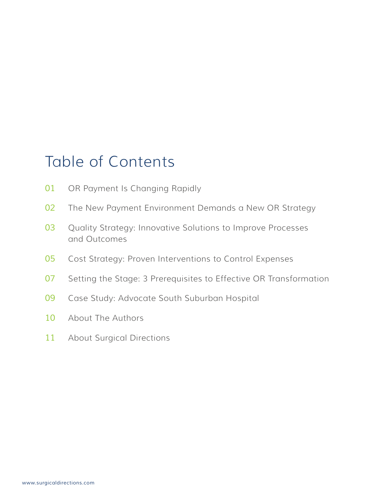# Table of Contents

- OR Payment Is Changing Rapidly
- The New Payment Environment Demands a New OR Strategy
- Quality Strategy: Innovative Solutions to Improve Processes and Outcomes
- Cost Strategy: Proven Interventions to Control Expenses
- Setting the Stage: 3 Prerequisites to Effective OR Transformation
- Case Study: Advocate South Suburban Hospital
- About The Authors
- About Surgical Directions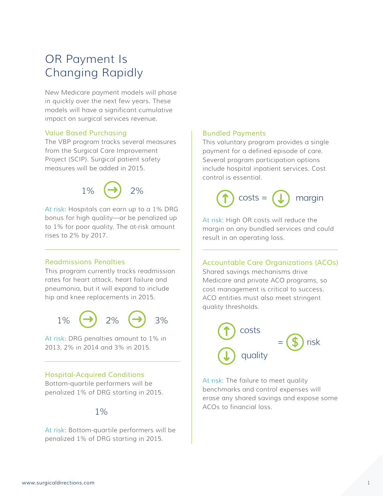## OR Payment Is Changing Rapidly

New Medicare payment models will phase in quickly over the next few years. These models will have a significant cumulative impact on surgical services revenue.

#### *Value Based Purchasing*

The VBP program tracks several measures from the Surgical Care Improvement Project (SCIP). Surgical patient safety measures will be added in 2015.



At risk: Hospitals can earn up to a 1% DRG bonus for high quality—or be penalized up to 1% for poor quality. The at-risk amount rises to 2% by 2017.

#### *Readmissions Penalties*

This program currently tracks readmission rates for heart attack, heart failure and pneumonia, but it will expand to include hip and knee replacements in 2015.



At risk: DRG penalties amount to 1% in 2013, 2% in 2014 and 3% in 2015.

#### *Hospital-Acquired Conditions*

Bottom-quartile performers will be penalized 1% of DRG starting in 2015.

### $1%$

At risk: Bottom-quartile performers will be penalized 1% of DRG starting in 2015.

#### *Bundled Payments*

This voluntary program provides a single payment for a defined episode of care. Several program participation options include hospital inpatient services. Cost control is essential.



At risk: High OR costs will reduce the margin on any bundled services and could result in an operating loss.

*Accountable Care Organizations (ACOs)*

Shared savings mechanisms drive Medicare and private ACO programs, so cost management is critical to success. ACO entities must also meet stringent quality thresholds.



At risk: The failure to meet quality benchmarks and control expenses will erase any shared savings and expose some ACOs to financial loss.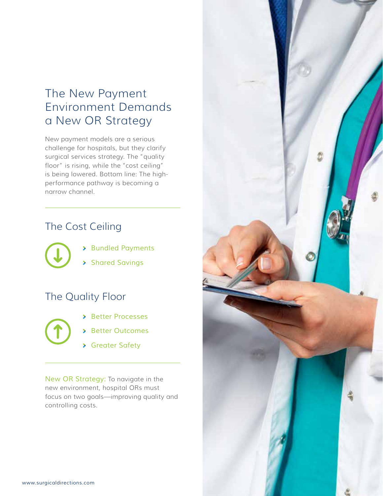### The New Payment Environment Demands a New OR Strategy

New payment models are a serious challenge for hospitals, but they clarify surgical services strategy. The "quality floor" is rising, while the "cost ceiling" is being lowered. Bottom line: The highperformance pathway is becoming a narrow channel.

### The Cost Ceiling

- *Bundled Payments*
- *Shared Savings*

### The Quality Floor



- *Better Processes*
- *Better Outcomes*
- *Greater Safety*

*New OR Strategy:* To navigate in the new environment, hospital ORs must focus on two goals—improving quality and controlling costs.

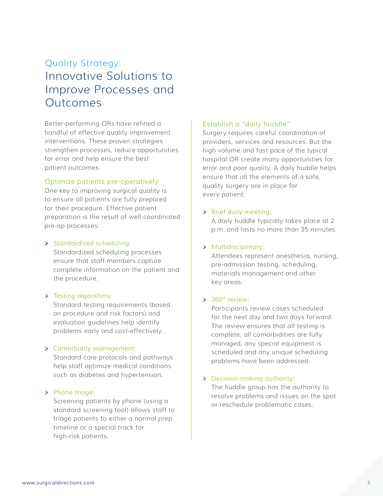### Quality Strategy: Innovative Solutions to Improve Processes and Outcomes

Better-performing ORs have refined a handful of effective quality improvement interventions. These proven strategies strengthen processes, reduce opportunities for error and help ensure the best patient outcomes.

#### *Optimize patients pre-operatively*

One key to improving surgical quality is to ensure all patients are fully prepared for their procedure. Effective patient preparation is the result of well coordinated pre-op processes:

#### *Standardized scheduling:*

Standardized scheduling processes ensure that staff members capture complete information on the patient and the procedure.

#### *Testing algorithms:*

Standard testing requirements (based on procedure and risk factors) and evaluation guidelines help identify problems early and cost-effectively.

#### *Comorbidity management:*

Standard care protocols and pathways help staff optimize medical conditions such as diabetes and hypertension.

#### *Phone triage:*

Screening patients by phone (using a standard screening tool) allows staff to triage patients to either a normal prep timeline or a special track for high-risk patients.

#### *Establish a "daily huddle"*

Surgery requires careful coordination of providers, services and resources. But the high volume and fast pace of the typical hospital OR create many opportunities for error and poor quality. A daily huddle helps ensure that all the elements of a safe, quality surgery are in place for every patient:

#### *Brief daily meeting:*

A daily huddle typically takes place at 2 p.m. and lasts no more than 35 minutes.

#### *Multidisciplinary:*

Attendees represent anesthesia, nursing, pre-admission testing, scheduling, materials management and other key areas.

#### *360° review:*

Participants review cases scheduled for the next day and two days forward. The review ensures that all testing is complete, all comorbidities are fully managed, any special equipment is scheduled and any unique scheduling problems have been addressed.

#### *Decision-making authority:*

The huddle group has the authority to resolve problems and issues on the spot or reschedule problematic cases.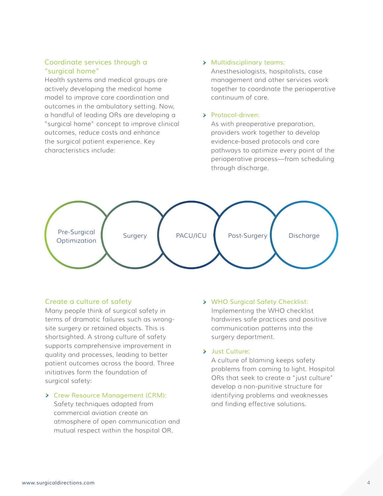#### *Coordinate services through a "surgical home"*

Health systems and medical groups are actively developing the medical home model to improve care coordination and outcomes in the ambulatory setting. Now, a handful of leading ORs are developing a "surgical home" concept to improve clinical outcomes, reduce costs and enhance the surgical patient experience. Key characteristics include:

#### *Multidisciplinary teams:*

Anesthesiologists, hospitalists, case management and other services work together to coordinate the perioperative continuum of care.

#### *Protocol-driven:*

As with preoperative preparation, providers work together to develop evidence-based protocols and care pathways to optimize every point of the perioperative process—from scheduling through discharge.



#### *Create a culture of safety*

Many people think of surgical safety in terms of dramatic failures such as wrongsite surgery or retained objects. This is shortsighted. A strong culture of safety supports comprehensive improvement in quality and processes, leading to better patient outcomes across the board. Three initiatives form the foundation of surgical safety:

#### *Crew Resource Management (CRM):*

Safety techniques adapted from commercial aviation create an atmosphere of open communication and mutual respect within the hospital OR.

#### *WHO Surgical Safety Checklist:* Implementing the WHO checklist hardwires safe practices and positive communication patterns into the surgery department.

#### *Just Culture:*

A culture of blaming keeps safety problems from coming to light. Hospital ORs that seek to create a "just culture" develop a non-punitive structure for identifying problems and weaknesses and finding effective solutions.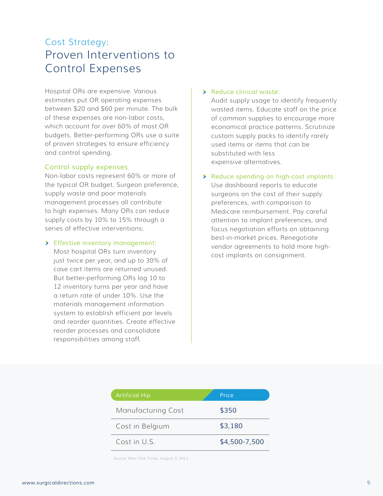### Cost Strategy: Proven Interventions to Control Expenses

Hospital ORs are expensive. Various estimates put OR operating expenses between \$20 and \$60 per minute. The bulk of these expenses are non-labor costs, which account for over 60% of most OR budgets. Better-performing ORs use a suite of proven strategies to ensure efficiency and control spending.

#### *Control supply expenses*

Non-labor costs represent 60% or more of the typical OR budget. Surgeon preference, supply waste and poor materials management processes all contribute to high expenses. Many ORs can reduce supply costs by 10% to 15% through a series of effective interventions:

#### *Effective inventory management:*

Most hospital ORs turn inventory just twice per year, and up to 30% of case cart items are returned unused. But better-performing ORs log 10 to 12 inventory turns per year and have a return rate of under 10%. Use the materials management information system to establish efficient par levels and reorder quantities. Create effective reorder processes and consolidate responsibilities among staff.

#### *Reduce clinical waste:*

Audit supply usage to identify frequently wasted items. Educate staff on the price of common supplies to encourage more economical practice patterns. Scrutinize custom supply packs to identify rarely used items or items that can be substituted with less expensive alternatives.

### *Reduce spending on high-cost implants.*

Use dashboard reports to educate surgeons on the cost of their supply preferences, with comparison to Medicare reimbursement. Pay careful attention to implant preferences, and focus negotiation efforts on obtaining best-in-market prices. Renegotiate vendor agreements to hold more highcost implants on consignment.

| <b>Artificial Hip</b> | Price         |
|-----------------------|---------------|
| Manufacturing Cost    | \$350         |
| Cost in Belgium       | \$3,180       |
| Cost in U.S.          | \$4,500-7,500 |

Source: New York Times, August 3, 2013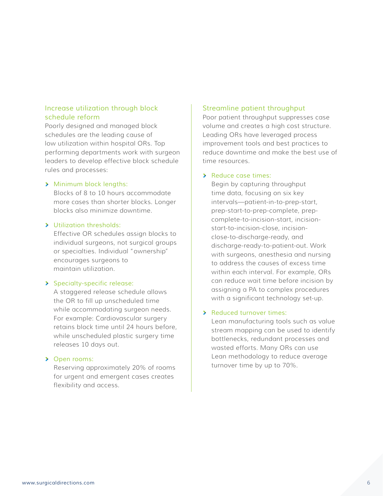#### *Increase utilization through block schedule reform*

Poorly designed and managed block schedules are the leading cause of low utilization within hospital ORs. Top performing departments work with surgeon leaders to develop effective block schedule rules and processes:

#### *Minimum block lengths:*

Blocks of 8 to 10 hours accommodate more cases than shorter blocks. Longer blocks also minimize downtime.

#### *Utilization thresholds:*

Effective OR schedules assign blocks to individual surgeons, not surgical groups or specialties. Individual "ownership" encourages surgeons to maintain utilization.

#### *Specialty-specific release:*

A staggered release schedule allows the OR to fill up unscheduled time while accommodating surgeon needs. For example: Cardiovascular surgery retains block time until 24 hours before, while unscheduled plastic surgery time releases 10 days out.

#### *Open rooms:*

Reserving approximately 20% of rooms for urgent and emergent cases creates flexibility and access.

#### *Streamline patient throughput*

Poor patient throughput suppresses case volume and creates a high cost structure. Leading ORs have leveraged process improvement tools and best practices to reduce downtime and make the best use of time resources.

#### *Reduce case times:*

Begin by capturing throughput time data, focusing on six key intervals—patient-in-to-prep-start, prep-start-to-prep-complete, prepcomplete-to-incision-start, incisionstart-to-incision-close, incisionclose-to-discharge-ready, and discharge-ready-to-patient-out. Work with surgeons, anesthesia and nursing to address the causes of excess time within each interval. For example, ORs can reduce wait time before incision by assigning a PA to complex procedures with a significant technology set-up.

#### *Reduced turnover times:*

Lean manufacturing tools such as value stream mapping can be used to identify bottlenecks, redundant processes and wasted efforts. Many ORs can use Lean methodology to reduce average turnover time by up to 70%.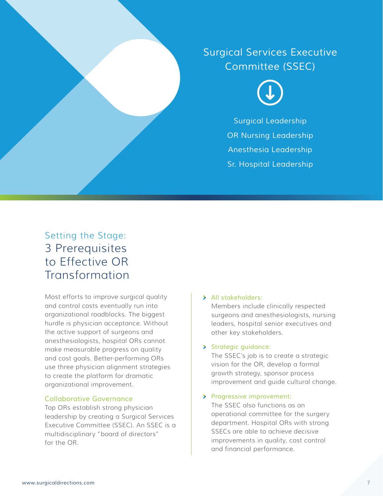## *Surgical Services Executive Committee (SSEC)*



*Surgical Leadership OR Nursing Leadership Anesthesia Leadership Sr. Hospital Leadership*

### Setting the Stage: 3 Prerequisites to Effective OR **Transformation**

Most efforts to improve surgical quality and control costs eventually run into organizational roadblocks. The biggest hurdle is physician acceptance. Without the active support of surgeons and anesthesiologists, hospital ORs cannot make measurable progress on quality and cost goals. Better-performing ORs use three physician alignment strategies to create the platform for dramatic organizational improvement.

#### *Collaborative Governance*

Top ORs establish strong physician leadership by creating a Surgical Services Executive Committee (SSEC). An SSEC is a multidisciplinary "board of directors" for the OR.

#### *All stakeholders:*

Members include clinically respected surgeons and anesthesiologists, nursing leaders, hospital senior executives and other key stakeholders.

#### *Strategic guidance:*

The SSEC's job is to create a strategic vision for the OR, develop a formal growth strategy, sponsor process improvement and guide cultural change.

*Progressive improvement:*

The SSEC also functions as an operational committee for the surgery department. Hospital ORs with strong SSECs are able to achieve decisive improvements in quality, cost control and financial performance.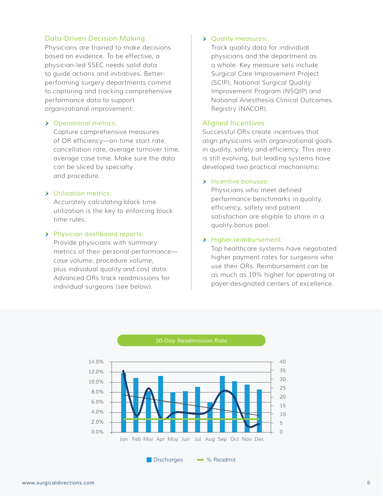#### *Data-Driven Decision Making*

Physicians are trained to make decisions based on evidence. To be effective, a physician-led SSEC needs solid data to guide actions and initiatives. Betterperforming surgery departments commit to capturing and tracking comprehensive performance data to support organizational improvement:

#### *Operational metrics:*

Capture comprehensive measures of OR efficiency—on-time start rate, cancellation rate, average turnover time, average case time. Make sure the data can be sliced by specialty and procedure.

#### *Utilization metrics:*

Accurately calculating block time utilization is the key to enforcing block time rules.

#### *Physician dashboard reports:*

Provide physicians with summary metrics of their personal performance case volume, procedure volume, plus individual quality and cost data. Advanced ORs track readmissions for individual surgeons (see below).

#### *Quality measures:*

Track quality data for individual physicians and the department as a whole. Key measure sets include Surgical Care Improvement Project (SCIP), National Surgical Quality Improvement Program (NSQIP) and National Anesthesia Clinical Outcomes Registry (NACOR).

#### *Aligned Incentives*

Successful ORs create incentives that align physicians with organizational goals in quality, safety and efficiency. This area is still evolving, but leading systems have developed two practical mechanisms:

#### *Incentive bonuses:*

Physicians who meet defined performance benchmarks in quality, efficiency, safety and patient satisfaction are eligible to share in a quality bonus pool.

#### *Higher reimbursement:*

Top healthcare systems have negotiated higher payment rates for surgeons who use their ORs. Reimbursement can be as much as 10% higher for operating at payer-designated centers of excellence.



Discharges - % Readmit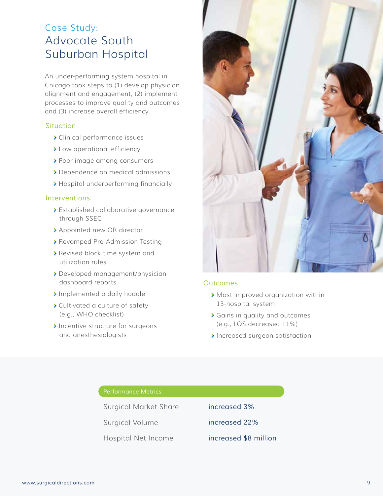### Case Study: Advocate South Suburban Hospital

An under-performing system hospital in Chicago took steps to (1) develop physician alignment and engagement, (2) implement processes to improve quality and outcomes and (3) increase overall efficiency.

#### *Situation*

- Clinical performance issues
- > Low operational efficiency
- > Poor image among consumers
- Dependence on medical admissions
- > Hospital underperforming financially

#### *Interventions*

- Established collaborative governance through SSEC
- Appointed new OR director
- Revamped Pre-Admission Testing
- Revised block time system and utilization rules
- Developed management/physician dashboard reports
- > Implemented a daily huddle
- Cultivated a culture of safety (e.g., WHO checklist)
- Incentive structure for surgeons and anesthesiologists



#### *Outcomes*

- Most improved organization within 13-hospital system
- Gains in quality and outcomes (e.g., LOS decreased 11%)
- Increased surgeon satisfaction

| <b>Performance Metrics</b>   |                       |
|------------------------------|-----------------------|
| <b>Surgical Market Share</b> | increased 3%          |
| Surgical Volume              | increased 22%         |
| Hospital Net Income          | increased \$8 million |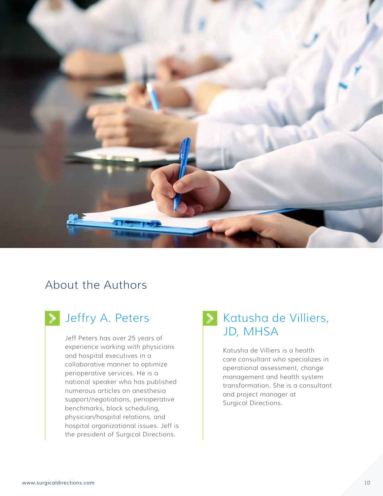

### About the Authors

experience working with physicians and hospital executives in a collaborative manner to optimize perioperative services. He is a national speaker who has published numerous articles on anesthesia support/negotiations, perioperative benchmarks, block scheduling, physician/hospital relations, and hospital organizational issues. Jeff is the president of Surgical Directions.

# Jeffry A. Peters **Demanda Strates**, Katusha de Villiers, Jeff Peters has over 25 years of **JD**, MHSA

Katusha de Villiers is a health care consultant who specializes in operational assessment, change management and health system transformation. She is a consultant and project manager at Surgical Directions.